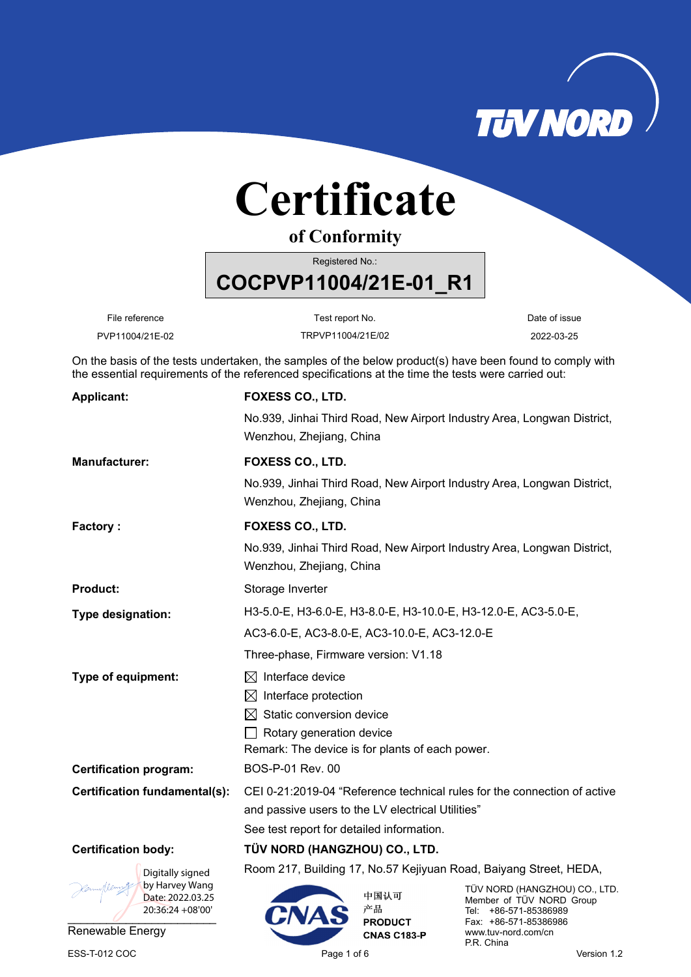

# **Certificate**

**of Conformity**

Registered No.:

**COCPVP11004/21E-01\_R1** 

File reference **Test report No.** Test report No. Test report No.

PVP11004/21E-02 TRPVP11004/21E/02 2022-03-25

On the basis of the tests undertaken, the samples of the below product(s) have been found to comply with the essential requirements of the referenced specifications at the time the tests were carried out:

| <b>Applicant:</b>                  | FOXESS CO., LTD.                                                                                    |  |  |
|------------------------------------|-----------------------------------------------------------------------------------------------------|--|--|
|                                    | No.939, Jinhai Third Road, New Airport Industry Area, Longwan District,<br>Wenzhou, Zhejiang, China |  |  |
| <b>Manufacturer:</b>               | <b>FOXESS CO., LTD.</b>                                                                             |  |  |
|                                    | No.939, Jinhai Third Road, New Airport Industry Area, Longwan District,<br>Wenzhou, Zhejiang, China |  |  |
| <b>Factory:</b>                    | FOXESS CO., LTD.                                                                                    |  |  |
|                                    | No.939, Jinhai Third Road, New Airport Industry Area, Longwan District,<br>Wenzhou, Zhejiang, China |  |  |
| <b>Product:</b>                    | Storage Inverter                                                                                    |  |  |
| Type designation:                  | H3-5.0-E, H3-6.0-E, H3-8.0-E, H3-10.0-E, H3-12.0-E, AC3-5.0-E,                                      |  |  |
|                                    | AC3-6.0-E, AC3-8.0-E, AC3-10.0-E, AC3-12.0-E                                                        |  |  |
|                                    | Three-phase, Firmware version: V1.18                                                                |  |  |
| Type of equipment:                 | Interface device<br>$\bowtie$                                                                       |  |  |
|                                    | Interface protection<br>$\bowtie$                                                                   |  |  |
|                                    | Static conversion device                                                                            |  |  |
|                                    | Rotary generation device                                                                            |  |  |
|                                    | Remark: The device is for plants of each power.                                                     |  |  |
| <b>Certification program:</b>      | BOS-P-01 Rev. 00                                                                                    |  |  |
| Certification fundamental(s):      | CEI 0-21:2019-04 "Reference technical rules for the connection of active                            |  |  |
|                                    | and passive users to the LV electrical Utilities"                                                   |  |  |
|                                    | See test report for detailed information.                                                           |  |  |
| <b>Certification body:</b>         | TÜV NORD (HANGZHOU) CO., LTD.                                                                       |  |  |
| Digitally signed                   | Room 217, Building 17, No.57 Kejiyuan Road, Baiyang Street, HEDA,                                   |  |  |
| $\sim$ 10. $\alpha$ by Harvoy Wang |                                                                                                     |  |  |



Renewable Energy

中国认可 产品 **PRODUCT CNAS C183-P** 

TÜV NORD (HANGZHOU) CO., LTD. Member of TÜV NORD Group Tel: +86-571-85386989 Fax: +86-571-85386986 www.tuv-nord.com/cn P.R. China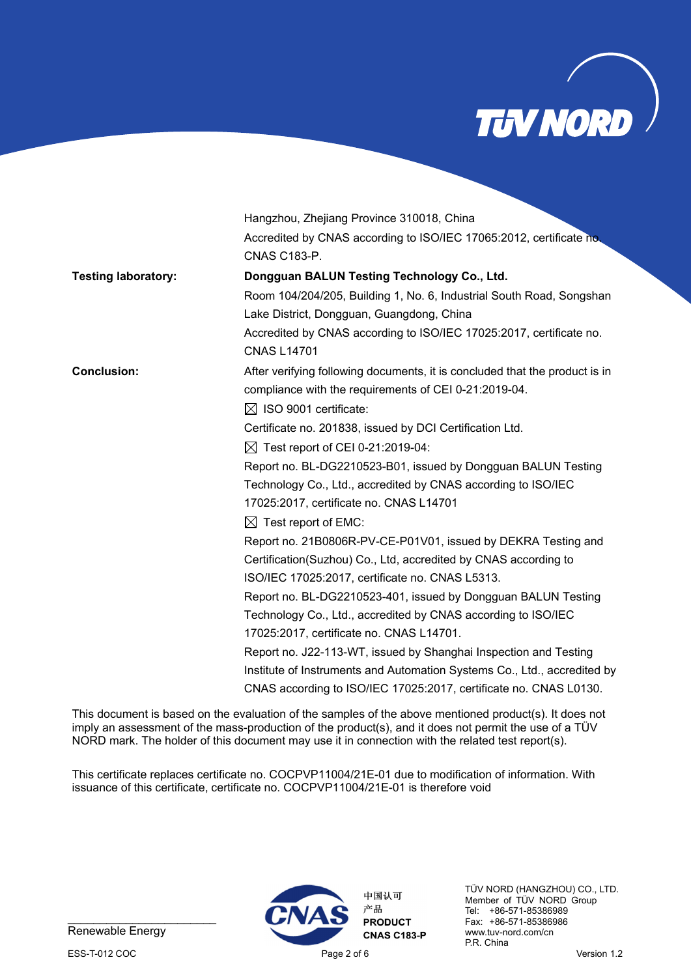

|                            | Hangzhou, Zhejiang Province 310018, China                                   |
|----------------------------|-----------------------------------------------------------------------------|
|                            | Accredited by CNAS according to ISO/IEC 17065:2012, certificate no.         |
|                            | <b>CNAS C183-P.</b>                                                         |
| <b>Testing laboratory:</b> | Dongguan BALUN Testing Technology Co., Ltd.                                 |
|                            | Room 104/204/205, Building 1, No. 6, Industrial South Road, Songshan        |
|                            | Lake District, Dongguan, Guangdong, China                                   |
|                            | Accredited by CNAS according to ISO/IEC 17025:2017, certificate no.         |
|                            | <b>CNAS L14701</b>                                                          |
| <b>Conclusion:</b>         | After verifying following documents, it is concluded that the product is in |
|                            | compliance with the requirements of CEI 0-21:2019-04.                       |
|                            | $\boxtimes$ ISO 9001 certificate:                                           |
|                            | Certificate no. 201838, issued by DCI Certification Ltd.                    |
|                            | $\boxtimes$ Test report of CEI 0-21:2019-04:                                |
|                            | Report no. BL-DG2210523-B01, issued by Dongguan BALUN Testing               |
|                            | Technology Co., Ltd., accredited by CNAS according to ISO/IEC               |
|                            | 17025:2017, certificate no. CNAS L14701                                     |
|                            | $\boxtimes$ Test report of EMC:                                             |
|                            | Report no. 21B0806R-PV-CE-P01V01, issued by DEKRA Testing and               |
|                            | Certification(Suzhou) Co., Ltd, accredited by CNAS according to             |
|                            | ISO/IEC 17025:2017, certificate no. CNAS L5313.                             |
|                            | Report no. BL-DG2210523-401, issued by Dongguan BALUN Testing               |
|                            | Technology Co., Ltd., accredited by CNAS according to ISO/IEC               |
|                            | 17025:2017, certificate no. CNAS L14701.                                    |
|                            | Report no. J22-113-WT, issued by Shanghai Inspection and Testing            |
|                            | Institute of Instruments and Automation Systems Co., Ltd., accredited by    |
|                            | CNAS according to ISO/IEC 17025:2017, certificate no. CNAS L0130.           |

This document is based on the evaluation of the samples of the above mentioned product(s). It does not imply an assessment of the mass-production of the product(s), and it does not permit the use of a TÜV NORD mark. The holder of this document may use it in connection with the related test report(s).

This certificate replaces certificate no. COCPVP11004/21E-01 due to modification of information. With issuance of this certificate, certificate no. COCPVP11004/21E-01 is therefore void



Renewable Energy



TÜV NORD (HANGZHOU) CO., LTD. Member of TÜV NORD Group Tel: +86-571-85386989 Fax: +86-571-85386986 www.tuv-nord.com/cn P.R. China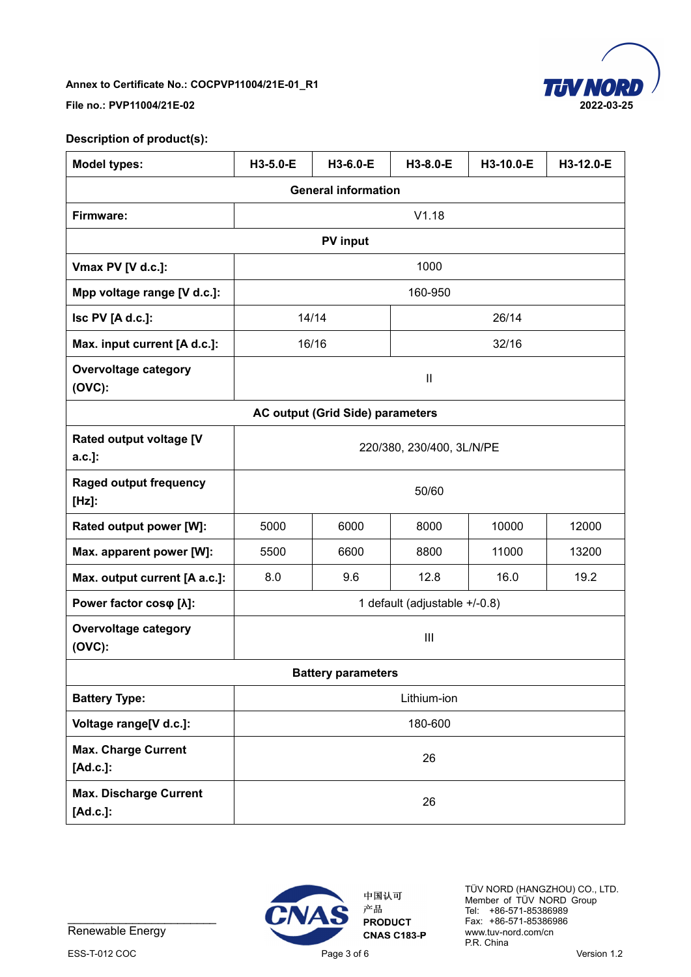

### **File no.: PVP11004/21E-02 2022-03-25**

## **Description of product(s):**

| <b>Model types:</b>                       | H3-5.0-E                      | H3-6.0-E                                | H3-8.0-E     | H3-10.0-E | H3-12.0-E |
|-------------------------------------------|-------------------------------|-----------------------------------------|--------------|-----------|-----------|
| <b>General information</b>                |                               |                                         |              |           |           |
| Firmware:                                 |                               |                                         | V1.18        |           |           |
|                                           |                               | <b>PV</b> input                         |              |           |           |
| Vmax PV [V d.c.]:                         |                               |                                         | 1000         |           |           |
| Mpp voltage range [V d.c.]:               |                               |                                         | 160-950      |           |           |
| Isc PV [A d.c.]:                          |                               | 14/14                                   |              | 26/14     |           |
| Max. input current [A d.c.]:              |                               | 16/16                                   |              | 32/16     |           |
| <b>Overvoltage category</b><br>$(OVC)$ :  |                               |                                         | $\mathbf{I}$ |           |           |
|                                           |                               | <b>AC output (Grid Side) parameters</b> |              |           |           |
| Rated output voltage [V<br>$a.c.]$ :      | 220/380, 230/400, 3L/N/PE     |                                         |              |           |           |
| <b>Raged output frequency</b><br>$[Hz]$ : | 50/60                         |                                         |              |           |           |
| Rated output power [W]:                   | 5000                          | 6000                                    | 8000         | 10000     | 12000     |
| Max. apparent power [W]:                  | 6600<br>5500<br>8800          |                                         | 11000        | 13200     |           |
| Max. output current [A a.c.]:             | 8.0<br>9.6<br>12.8<br>16.0    |                                         | 19.2         |           |           |
| Power factor coso [ $\lambda$ ]:          | 1 default (adjustable +/-0.8) |                                         |              |           |           |
| <b>Overvoltage category</b><br>$(OVC)$ :  | $\mathbf{III}$                |                                         |              |           |           |
| <b>Battery parameters</b>                 |                               |                                         |              |           |           |
| <b>Battery Type:</b>                      | Lithium-ion                   |                                         |              |           |           |
| Voltage range[V d.c.]:                    | 180-600                       |                                         |              |           |           |
| <b>Max. Charge Current</b><br>[Ad.c.]:    | 26                            |                                         |              |           |           |
| <b>Max. Discharge Current</b><br>[Ad.c.]: | 26                            |                                         |              |           |           |



Renewable Energy

ESS-T-012 COC CONSERVATION CONSERVATION Page 3 of 6 Version 1.2



中国认可 产品 **PRODUCT CNAS C183-P** 

TÜV NORD (HANGZHOU) CO., LTD. Member of TÜV NORD Group Tel: +86-571-85386989 Fax: +86-571-85386986 www.tuv-nord.com/cn P.R. China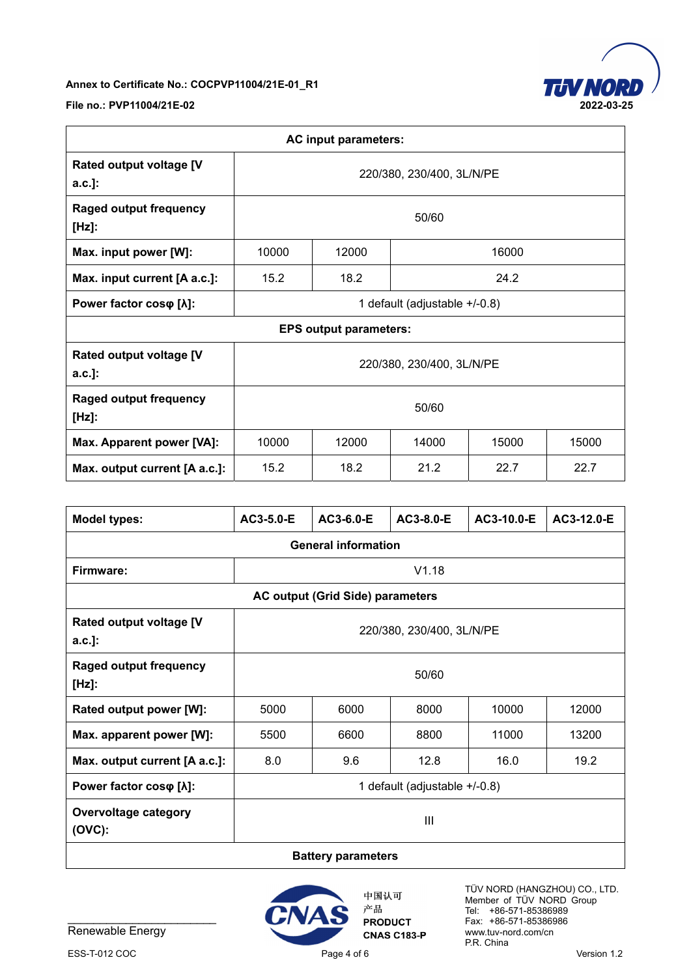

**File no.: PVP11004/21E-02 2022-03-25** 

| <b>AC input parameters:</b>                 |                                           |  |  |  |  |
|---------------------------------------------|-------------------------------------------|--|--|--|--|
| <b>Rated output voltage [V</b><br>$a.c.]$ : | 220/380, 230/400, 3L/N/PE                 |  |  |  |  |
| <b>Raged output frequency</b><br>$[Hz]$ :   | 50/60                                     |  |  |  |  |
| Max. input power [W]:                       | 10000<br>12000<br>16000                   |  |  |  |  |
| Max. input current [A a.c.]:                | 24.2<br>15.2<br>18.2                      |  |  |  |  |
| Power factor coso [ $\lambda$ ]:            | 1 default (adjustable +/-0.8)             |  |  |  |  |
| <b>EPS output parameters:</b>               |                                           |  |  |  |  |
| <b>Rated output voltage [V</b><br>$a.c.]$ : | 220/380, 230/400, 3L/N/PE                 |  |  |  |  |
| <b>Raged output frequency</b><br>$[Hz]$ :   | 50/60                                     |  |  |  |  |
| Max. Apparent power [VA]:                   | 10000<br>12000<br>14000<br>15000<br>15000 |  |  |  |  |
| Max. output current [A a.c.]:               | 15.2<br>18.2<br>21.2<br>22.7<br>22.7      |  |  |  |  |

| <b>Model types:</b>                         | AC3-5.0-E                              | AC3-6.0-E | AC3-8.0-E | AC3-10.0-E | AC3-12.0-E |
|---------------------------------------------|----------------------------------------|-----------|-----------|------------|------------|
| <b>General information</b>                  |                                        |           |           |            |            |
| Firmware:                                   |                                        | V1.18     |           |            |            |
| <b>AC output (Grid Side) parameters</b>     |                                        |           |           |            |            |
| <b>Rated output voltage [V</b><br>$a.c.]$ : | 220/380, 230/400, 3L/N/PE              |           |           |            |            |
| <b>Raged output frequency</b><br>$[Hz]$ :   | 50/60                                  |           |           |            |            |
| Rated output power [W]:                     | 6000<br>8000<br>10000<br>12000<br>5000 |           |           |            |            |
| Max. apparent power [W]:                    | 5500                                   | 6600      | 8800      | 11000      | 13200      |
| Max. output current [A a.c.]:               | 8.0                                    | 9.6       | 12.8      | 16.0       | 19.2       |
| Power factor coso [ $\lambda$ ]:            | 1 default (adjustable +/-0.8)          |           |           |            |            |
| <b>Overvoltage category</b><br>$(OVC)$ :    | $\mathbf{III}$                         |           |           |            |            |
| <b>B</b> - 44 - - - - - - - - - - - - 4 -   |                                        |           |           |            |            |

#### **Battery parameters**



Renewable Energy





中国认可 产品 **PRODUCT CNAS C183-P** 

TÜV NORD (HANGZHOU) CO., LTD. Member of TÜV NORD Group Tel: +86-571-85386989 Fax: +86-571-85386986 www.tuv-nord.com/cn P.R. China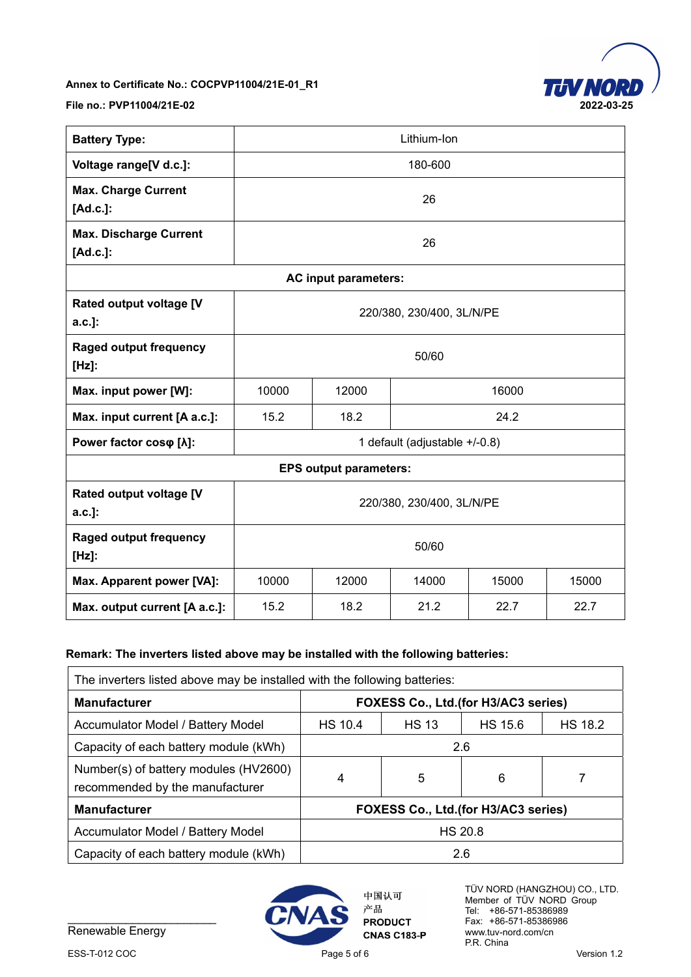

**File no.: PVP11004/21E-02 2022-03-25** 

| <b>Battery Type:</b>                      | Lithium-Ion                               |                      |  |  |  |
|-------------------------------------------|-------------------------------------------|----------------------|--|--|--|
| Voltage range[V d.c.]:                    | 180-600                                   |                      |  |  |  |
| <b>Max. Charge Current</b><br>[Ad.c.]:    |                                           | 26                   |  |  |  |
| <b>Max. Discharge Current</b><br>[Ad.c.]: | 26                                        |                      |  |  |  |
|                                           |                                           | AC input parameters: |  |  |  |
| Rated output voltage [V<br>$a.c.$ ]:      | 220/380, 230/400, 3L/N/PE                 |                      |  |  |  |
| <b>Raged output frequency</b><br>$[Hz]$ : | 50/60                                     |                      |  |  |  |
| Max. input power [W]:                     | 16000<br>10000<br>12000                   |                      |  |  |  |
| Max. input current [A a.c.]:              | 15.2<br>18.2<br>24.2                      |                      |  |  |  |
| Power factor coso [ $\lambda$ ]:          | 1 default (adjustable +/-0.8)             |                      |  |  |  |
| <b>EPS output parameters:</b>             |                                           |                      |  |  |  |
| Rated output voltage [V<br>$a.c.$ ]:      | 220/380, 230/400, 3L/N/PE                 |                      |  |  |  |
| <b>Raged output frequency</b><br>$[Hz]$ : | 50/60                                     |                      |  |  |  |
| Max. Apparent power [VA]:                 | 10000<br>12000<br>14000<br>15000<br>15000 |                      |  |  |  |
| Max. output current [A a.c.]:             | 15.2<br>18.2<br>21.2<br>22.7<br>22.7      |                      |  |  |  |

## **Remark: The inverters listed above may be installed with the following batteries:**

| The inverters listed above may be installed with the following batteries: |                                     |              |                |                |
|---------------------------------------------------------------------------|-------------------------------------|--------------|----------------|----------------|
| <b>Manufacturer</b>                                                       | FOXESS Co., Ltd.(for H3/AC3 series) |              |                |                |
| Accumulator Model / Battery Model                                         | <b>HS 10.4</b>                      | <b>HS 13</b> | <b>HS 15.6</b> | <b>HS 18.2</b> |
| Capacity of each battery module (kWh)                                     | 2.6                                 |              |                |                |
| Number(s) of battery modules (HV2600)<br>recommended by the manufacturer  | 4                                   | 5            | 6              |                |
| <b>Manufacturer</b><br>FOXESS Co., Ltd.(for H3/AC3 series)                |                                     |              |                |                |
| Accumulator Model / Battery Model                                         | <b>HS 20.8</b>                      |              |                |                |
| Capacity of each battery module (kWh)                                     | 2.6                                 |              |                |                |

 $20:37:36 + 08'00'$ Digitally signed by Harvey Wang Date: 2022.03.25



中国认可 产品 **PRODUCT CNAS C183-P**  TÜV NORD (HANGZHOU) CO., LTD. Member of TÜV NORD Group Tel: +86-571-85386989 Fax: +86-571-85386986 www.tuv-nord.com/cn P.R. China

Renewable Energy